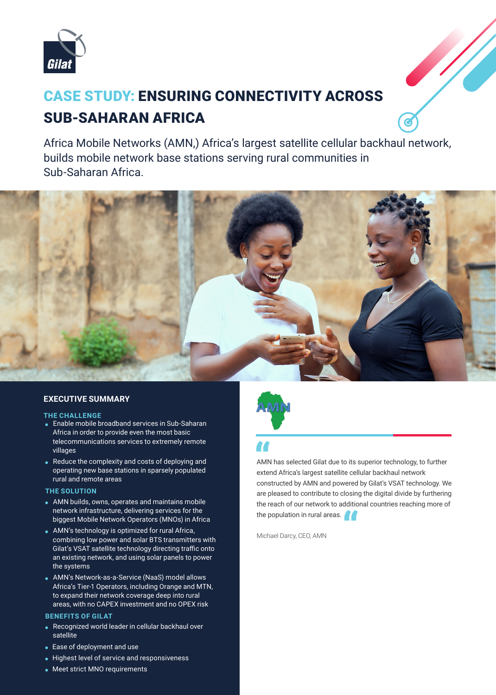

# **CASE STUDY: ENSURING CONNECTIVITY ACROSS SUB-SAHARAN AFRICA**

Africa Mobile Networks (AMN,) Africa's largest satellite cellular backhaul network, builds mobile network base stations serving rural communities in Sub-Saharan Africa.



## **EXECUTIVE SUMMARY**

#### **THE CHALLENGE**

- Enable mobile broadband services in Sub-Saharan Africa in order to provide even the most basic telecommunications services to extremely remote villages
- $\bullet$  Reduce the complexity and costs of deploying and operating new base stations in sparsely populated rural and remote areas

### **THE SOLUTION**

- AMN builds, owns, operates and maintains mobile network infrastructure, delivering services for the biggest Mobile Network Operators (MNOs) in Africa
- AMN's technology is optimized for rural Africa, combining low power and solar BTS transmitters with Gilat's VSAT satellite technology directing traffic onto an existing network, and using solar panels to power the systems
- AMN's Network-as-a-Service (NaaS) model allows Africa's Tier-1 Operators, including Orange and MTN, to expand their network coverage deep into rural areas, with no CAPEX investment and no OPEX risk

### **BENEFITS OF GILAT**

- $\bullet$  Recognized world leader in cellular backhaul over satellite
- $\bullet$  Ease of deployment and use
- Highest level of service and responsiveness
- Meet strict MNO requirements



AMN has selected Gilat due to its superior technology, to further network backhaul cellular backhaul cellular<br>Nextend Africa's largest satellite cellular backhaul network<br>"Africa's largest satellite cellular backhaul network constructed by AMN and powered by Gilat's VSAT technology. We are pleased to contribute to closing the digital divide by furthering the reach of our network to additional countries reaching more of the population in rural areas.<br>
Michael Darcy, CEO, AMN

Michael Darcy, CEO, AMN